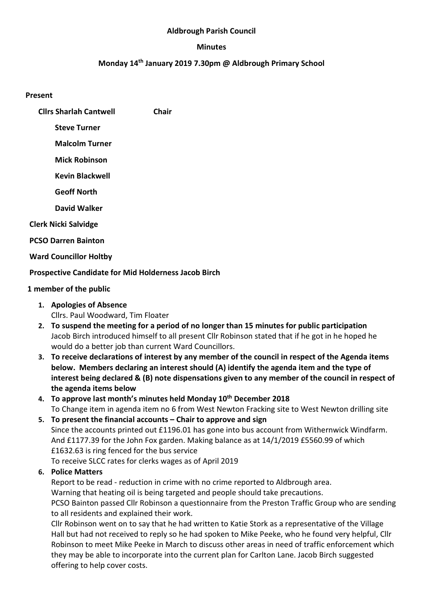#### Aldbrough Parish Council

#### Minutes

### Monday 14th January 2019 7.30pm @ Aldbrough Primary School

#### Present

- Cllrs Sharlah Cantwell Chair
	- Steve Turner
	- Malcolm Turner
	- Mick Robinson
	- Kevin Blackwell
	- Geoff North
	- David Walker
- Clerk Nicki Salvidge
- PCSO Darren Bainton
- Ward Councillor Holtby

## Prospective Candidate for Mid Holderness Jacob Birch

## 1 member of the public

- 1. Apologies of Absence Cllrs. Paul Woodward, Tim Floater
- 2. To suspend the meeting for a period of no longer than 15 minutes for public participation Jacob Birch introduced himself to all present Cllr Robinson stated that if he got in he hoped he would do a better job than current Ward Councillors.
- 3. To receive declarations of interest by any member of the council in respect of the Agenda items below. Members declaring an interest should (A) identify the agenda item and the type of interest being declared & (B) note dispensations given to any member of the council in respect of the agenda items below
- 4. To approve last month's minutes held Monday 10<sup>th</sup> December 2018 To Change item in agenda item no 6 from West Newton Fracking site to West Newton drilling site
- 5. To present the financial accounts Chair to approve and sign Since the accounts printed out £1196.01 has gone into bus account from Withernwick Windfarm. And £1177.39 for the John Fox garden. Making balance as at 14/1/2019 £5560.99 of which £1632.63 is ring fenced for the bus service To receive SLCC rates for clerks wages as of April 2019
- 6. Police Matters

Report to be read - reduction in crime with no crime reported to Aldbrough area. Warning that heating oil is being targeted and people should take precautions. PCSO Bainton passed Cllr Robinson a questionnaire from the Preston Traffic Group who are sending to all residents and explained their work.

Cllr Robinson went on to say that he had written to Katie Stork as a representative of the Village Hall but had not received to reply so he had spoken to Mike Peeke, who he found very helpful, Cllr Robinson to meet Mike Peeke in March to discuss other areas in need of traffic enforcement which they may be able to incorporate into the current plan for Carlton Lane. Jacob Birch suggested offering to help cover costs.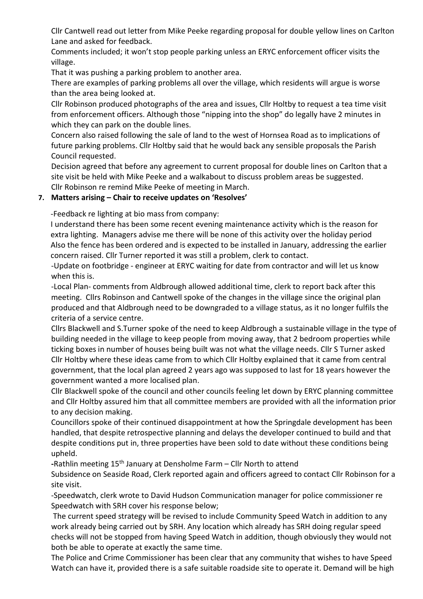Cllr Cantwell read out letter from Mike Peeke regarding proposal for double yellow lines on Carlton Lane and asked for feedback.

Comments included; it won't stop people parking unless an ERYC enforcement officer visits the village.

That it was pushing a parking problem to another area.

There are examples of parking problems all over the village, which residents will argue is worse than the area being looked at.

Cllr Robinson produced photographs of the area and issues, Cllr Holtby to request a tea time visit from enforcement officers. Although those "nipping into the shop" do legally have 2 minutes in which they can park on the double lines.

Concern also raised following the sale of land to the west of Hornsea Road as to implications of future parking problems. Cllr Holtby said that he would back any sensible proposals the Parish Council requested.

Decision agreed that before any agreement to current proposal for double lines on Carlton that a site visit be held with Mike Peeke and a walkabout to discuss problem areas be suggested. Cllr Robinson re remind Mike Peeke of meeting in March.

### 7. Matters arising – Chair to receive updates on 'Resolves'

-Feedback re lighting at bio mass from company:

I understand there has been some recent evening maintenance activity which is the reason for extra lighting. Managers advise me there will be none of this activity over the holiday period Also the fence has been ordered and is expected to be installed in January, addressing the earlier concern raised. Cllr Turner reported it was still a problem, clerk to contact.

-Update on footbridge - engineer at ERYC waiting for date from contractor and will let us know when this is.

-Local Plan- comments from Aldbrough allowed additional time, clerk to report back after this meeting. Cllrs Robinson and Cantwell spoke of the changes in the village since the original plan produced and that Aldbrough need to be downgraded to a village status, as it no longer fulfils the criteria of a service centre.

Cllrs Blackwell and S.Turner spoke of the need to keep Aldbrough a sustainable village in the type of building needed in the village to keep people from moving away, that 2 bedroom properties while ticking boxes in number of houses being built was not what the village needs. Cllr S Turner asked Cllr Holtby where these ideas came from to which Cllr Holtby explained that it came from central government, that the local plan agreed 2 years ago was supposed to last for 18 years however the government wanted a more localised plan.

Cllr Blackwell spoke of the council and other councils feeling let down by ERYC planning committee and Cllr Holtby assured him that all committee members are provided with all the information prior to any decision making.

Councillors spoke of their continued disappointment at how the Springdale development has been handled, that despite retrospective planning and delays the developer continued to build and that despite conditions put in, three properties have been sold to date without these conditions being upheld.

-Rathlin meeting 15<sup>th</sup> January at Densholme Farm – Cllr North to attend

Subsidence on Seaside Road, Clerk reported again and officers agreed to contact Cllr Robinson for a site visit.

-Speedwatch, clerk wrote to David Hudson Communication manager for police commissioner re Speedwatch with SRH cover his response below;

The current speed strategy will be revised to include Community Speed Watch in addition to any work already being carried out by SRH. Any location which already has SRH doing regular speed checks will not be stopped from having Speed Watch in addition, though obviously they would not both be able to operate at exactly the same time.

The Police and Crime Commissioner has been clear that any community that wishes to have Speed Watch can have it, provided there is a safe suitable roadside site to operate it. Demand will be high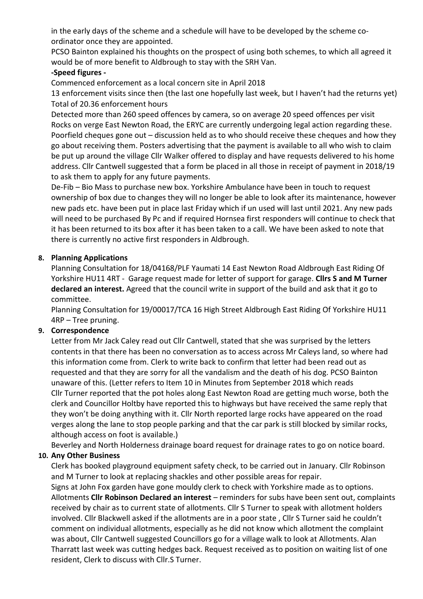in the early days of the scheme and a schedule will have to be developed by the scheme coordinator once they are appointed.

PCSO Bainton explained his thoughts on the prospect of using both schemes, to which all agreed it would be of more benefit to Aldbrough to stay with the SRH Van.

### -Speed figures -

Commenced enforcement as a local concern site in April 2018

13 enforcement visits since then (the last one hopefully last week, but I haven't had the returns yet) Total of 20.36 enforcement hours

Detected more than 260 speed offences by camera, so on average 20 speed offences per visit Rocks on verge East Newton Road, the ERYC are currently undergoing legal action regarding these. Poorfield cheques gone out – discussion held as to who should receive these cheques and how they go about receiving them. Posters advertising that the payment is available to all who wish to claim be put up around the village Cllr Walker offered to display and have requests delivered to his home address. Cllr Cantwell suggested that a form be placed in all those in receipt of payment in 2018/19 to ask them to apply for any future payments.

De-Fib – Bio Mass to purchase new box. Yorkshire Ambulance have been in touch to request ownership of box due to changes they will no longer be able to look after its maintenance, however new pads etc. have been put in place last Friday which if un used will last until 2021. Any new pads will need to be purchased By Pc and if required Hornsea first responders will continue to check that it has been returned to its box after it has been taken to a call. We have been asked to note that there is currently no active first responders in Aldbrough.

### 8. Planning Applications

Planning Consultation for 18/04168/PLF Yaumati 14 East Newton Road Aldbrough East Riding Of Yorkshire HU11 4RT - Garage request made for letter of support for garage. Clirs S and M Turner declared an interest. Agreed that the council write in support of the build and ask that it go to committee.

Planning Consultation for 19/00017/TCA 16 High Street Aldbrough East Riding Of Yorkshire HU11 4RP – Tree pruning.

## 9. Correspondence

Letter from Mr Jack Caley read out Cllr Cantwell, stated that she was surprised by the letters contents in that there has been no conversation as to access across Mr Caleys land, so where had this information come from. Clerk to write back to confirm that letter had been read out as requested and that they are sorry for all the vandalism and the death of his dog. PCSO Bainton unaware of this. (Letter refers to Item 10 in Minutes from September 2018 which reads Cllr Turner reported that the pot holes along East Newton Road are getting much worse, both the clerk and Councillor Holtby have reported this to highways but have received the same reply that they won't be doing anything with it. Cllr North reported large rocks have appeared on the road verges along the lane to stop people parking and that the car park is still blocked by similar rocks, although access on foot is available.)

Beverley and North Holderness drainage board request for drainage rates to go on notice board.

## 10. Any Other Business

Clerk has booked playground equipment safety check, to be carried out in January. Cllr Robinson and M Turner to look at replacing shackles and other possible areas for repair.

Signs at John Fox garden have gone mouldy clerk to check with Yorkshire made as to options. Allotments Cllr Robinson Declared an interest – reminders for subs have been sent out, complaints received by chair as to current state of allotments. Cllr S Turner to speak with allotment holders involved. Cllr Blackwell asked if the allotments are in a poor state , Cllr S Turner said he couldn't comment on individual allotments, especially as he did not know which allotment the complaint was about, Cllr Cantwell suggested Councillors go for a village walk to look at Allotments. Alan Tharratt last week was cutting hedges back. Request received as to position on waiting list of one resident, Clerk to discuss with Cllr.S Turner.